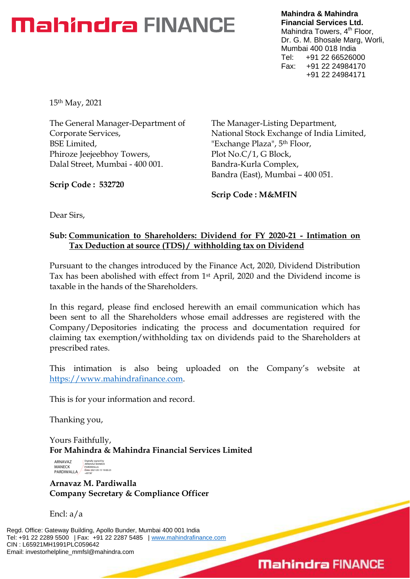# **Mahindra FINANCE**

**Mahindra & Mahindra Financial Services Ltd.** Mahindra Towers, 4<sup>th</sup> Floor, Dr. G. M. Bhosale Marg, Worli, Mumbai 400 018 India Tel: +91 22 66526000 Fax: +91 22 24984170 +91 22 24984171

15th May, 2021

The General Manager-Department of Corporate Services, BSE Limited, Phiroze Jeejeebhoy Towers, Dalal Street, Mumbai - 400 001.

**Scrip Code : 532720**

The Manager-Listing Department, National Stock Exchange of India Limited, "Exchange Plaza", 5th Floor, Plot No.C/1, G Block, Bandra-Kurla Complex, Bandra (East), Mumbai – 400 051.

**Scrip Code : M&MFIN**

Dear Sirs,

## **Sub: Communication to Shareholders: Dividend for FY 2020-21 - Intimation on Tax Deduction at source (TDS) / withholding tax on Dividend**

Pursuant to the changes introduced by the Finance Act, 2020, Dividend Distribution Tax has been abolished with effect from 1st April, 2020 and the Dividend income is taxable in the hands of the Shareholders.

In this regard, please find enclosed herewith an email communication which has been sent to all the Shareholders whose email addresses are registered with the Company/Depositories indicating the process and documentation required for claiming tax exemption/withholding tax on dividends paid to the Shareholders at prescribed rates.

This intimation is also being uploaded on the Company's website at [https://www.mahindrafinance.com.](https://www.mahindrafinance.com/)

This is for your information and record.

Thanking you,

Yours Faithfully, **For Mahindra & Mahindra Financial Services Limited**

ARNAVAZ MANECK PARDIWALLA<br>PARDIWALLA - PARDING 19:00:23 Digitally signed by ARNAVAZ MANECK

**Arnavaz M. Pardiwalla Company Secretary & Compliance Officer**

Encl: a/a

Regd. Office: Gateway Building, Apollo Bunder, Mumbai 400 001 India Tel: +91 22 2289 5500 | Fax: +91 22 2287 5485 | [www.mahindrafinance.com](http://www.mahindrafinance.com/) CIN : L65921MH1991PLC059642 Email: investorhelpline\_mmfsl@mahindra.com

## **Mahindra FINANCE**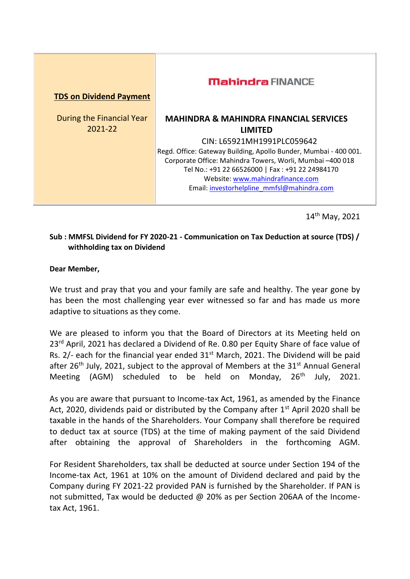| <b>TDS on Dividend Payment</b> | <b>Mahindra FINANCE</b>                                          |
|--------------------------------|------------------------------------------------------------------|
| During the Financial Year      | <b>MAHINDRA &amp; MAHINDRA FINANCIAL SERVICES</b>                |
| 2021-22                        | <b>LIMITED</b>                                                   |
|                                | CIN: L65921MH1991PLC059642                                       |
|                                | Regd. Office: Gateway Building, Apollo Bunder, Mumbai - 400 001. |
|                                | Corporate Office: Mahindra Towers, Worli, Mumbai -400 018        |
|                                | Tel No.: +91 22 66526000   Fax : +91 22 24984170                 |
|                                | Website: www.mahindrafinance.com                                 |
|                                | Email: investorhelpline mmfsl@mahindra.com                       |
|                                |                                                                  |

14th May, 2021

### **Sub : MMFSL Dividend for FY 2020-21 - Communication on Tax Deduction at source (TDS) / withholding tax on Dividend**

#### **Dear Member,**

We trust and pray that you and your family are safe and healthy. The year gone by has been the most challenging year ever witnessed so far and has made us more adaptive to situations as they come.

We are pleased to inform you that the Board of Directors at its Meeting held on 23<sup>rd</sup> April, 2021 has declared a Dividend of Re. 0.80 per Equity Share of face value of Rs.  $2/-$  each for the financial year ended  $31<sup>st</sup>$  March, 2021. The Dividend will be paid after 26<sup>th</sup> July, 2021, subject to the approval of Members at the  $31<sup>st</sup>$  Annual General Meeting (AGM) scheduled to be held on Monday,  $26<sup>th</sup>$  July, 2021.

As you are aware that pursuant to Income-tax Act, 1961, as amended by the Finance Act, 2020, dividends paid or distributed by the Company after  $1<sup>st</sup>$  April 2020 shall be taxable in the hands of the Shareholders. Your Company shall therefore be required to deduct tax at source (TDS) at the time of making payment of the said Dividend after obtaining the approval of Shareholders in the forthcoming AGM.

For Resident Shareholders, tax shall be deducted at source under Section 194 of the Income-tax Act, 1961 at 10% on the amount of Dividend declared and paid by the Company during FY 2021-22 provided PAN is furnished by the Shareholder. If PAN is not submitted, Tax would be deducted @ 20% as per Section 206AA of the Incometax Act, 1961.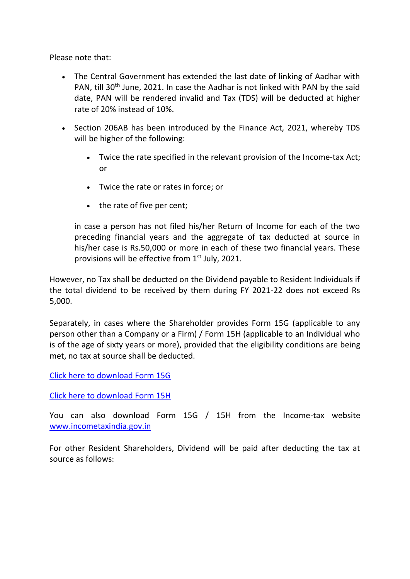Please note that:

- The Central Government has extended the last date of linking of Aadhar with PAN, till 30<sup>th</sup> June, 2021. In case the Aadhar is not linked with PAN by the said date, PAN will be rendered invalid and Tax (TDS) will be deducted at higher rate of 20% instead of 10%.
- Section 206AB has been introduced by the Finance Act, 2021, whereby TDS will be higher of the following:
	- Twice the rate specified in the relevant provision of the Income-tax Act; or
	- Twice the rate or rates in force; or
	- the rate of five per cent;

in case a person has not filed his/her Return of Income for each of the two preceding financial years and the aggregate of tax deducted at source in his/her case is Rs.50,000 or more in each of these two financial years. These provisions will be effective from  $1<sup>st</sup>$  July, 2021.

However, no Tax shall be deducted on the Dividend payable to Resident Individuals if the total dividend to be received by them during FY 2021-22 does not exceed Rs 5,000.

Separately, in cases where the Shareholder provides Form 15G (applicable to any person other than a Company or a Firm) / Form 15H (applicable to an Individual who is of the age of sixty years or more), provided that the eligibility conditions are being met, no tax at source shall be deducted.

[Click here to download Form 15G](https://delivery.kfintech.com/PYTWNAHI?id=75475=ch9VAAUHBVJQGgMEBwIAA1QEUl0AUlQMWltWUQdSUFYIVQdRCgcBV1xWUgVWAAQABgJPF1EKF1NcFg0IQQxTCEUjCFFaW18BFwdLUglYGVMBAgJUCFRVCA0IV1MLVQNXTQsRREJBC0pKAgBdD0MAEE4eWAJQDRFdWlBNAl0JHTZoNzJ+c3p4WgwCGUdV&fl=WRcRQEEIHkoGFAxcARsOBF5eRwFaC0tbVlVMA18FWwpCTCNZXldCSigrIwNWB1Q9cV9BCQhWIhZJXAU=)

[Click here to download Form 15H](https://delivery.kfintech.com/PYTWNAHI?id=75475=ch9VAAUHBVJQGlQHVVdXUgJTBFEJAlAIXQ1TBAtRV1UBB1UFBFQAXFVVXQMDAl1XAAhPF1EKF1NcFg0IQQxTCEUjCFFaW18BFwdLUglYGVMBAgJUCFRVCA0IV1MLVQNXTQsRREJBC0pKAgBdD0MAEE4eWAJQDRFdWlBNAl0JHTZoNzJ+c3p4WgwCGUdV&fl=WRcRQEEIHkoGFAxcARsOBF5eRwFaC0tbVlVMA18FWwpCTCNZXldCSigrIwNWB1Q9cV9BCQhWLRZJXAU=) 

You can also download Form 15G / 15H from the Income-tax website <www.incometaxindia.gov.in>

For other Resident Shareholders, Dividend will be paid after deducting the tax at source as follows: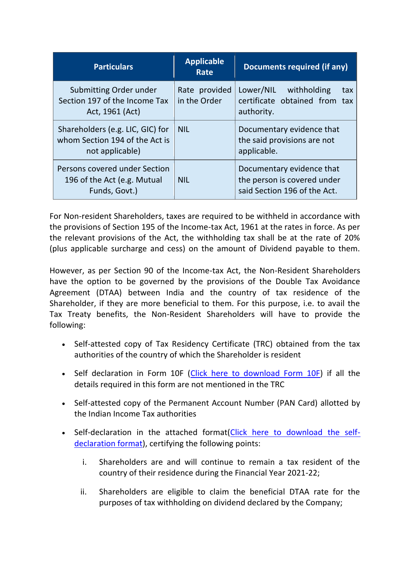| <b>Particulars</b>                                                                    | <b>Applicable</b><br>Rate     | Documents required (if any)                                                              |
|---------------------------------------------------------------------------------------|-------------------------------|------------------------------------------------------------------------------------------|
| Submitting Order under<br>Section 197 of the Income Tax<br>Act, 1961 (Act)            | Rate provided<br>in the Order | Lower/NIL withholding<br>tax<br>certificate obtained from tax<br>authority.              |
| Shareholders (e.g. LIC, GIC) for<br>whom Section 194 of the Act is<br>not applicable) | <b>NIL</b>                    | Documentary evidence that<br>the said provisions are not<br>applicable.                  |
| Persons covered under Section<br>196 of the Act (e.g. Mutual<br>Funds, Govt.)         | <b>NIL</b>                    | Documentary evidence that<br>the person is covered under<br>said Section 196 of the Act. |

For Non-resident Shareholders, taxes are required to be withheld in accordance with the provisions of Section 195 of the Income-tax Act, 1961 at the rates in force. As per the relevant provisions of the Act, the withholding tax shall be at the rate of 20% (plus applicable surcharge and cess) on the amount of Dividend payable to them.

However, as per Section 90 of the Income-tax Act, the Non-Resident Shareholders have the option to be governed by the provisions of the Double Tax Avoidance Agreement (DTAA) between India and the country of tax residence of the Shareholder, if they are more beneficial to them. For this purpose, i.e. to avail the Tax Treaty benefits, the Non-Resident Shareholders will have to provide the following:

- Self-attested copy of Tax Residency Certificate (TRC) obtained from the tax authorities of the country of which the Shareholder is resident
- Self declaration in Form 10F [\(Click here to download Form 10F\)](https://delivery.kfintech.com/PYTWNAHI?id=75475=ch9VAAUHBVJQGgZQXgZVA1RVBwYOUQcLXQhWAFNSVgAIUwMBVlNVBlBVVVQEVARSVAVPF1EKF1NcFg0IQQxTCEUjCFFaW18BFwdLUglYGVMBAgJUCFRVCA0IV1MLVQNXTQsRREJBC0pKAgBdD0MAEE4eWAJQDRFdWlBNAl0JHTZoNzJ+c3p4WgwCGUdV&fl=WRcRQEEIHkoGFAxcARsOBF5eRwFaC0tbVlVMA18FWwpCTCNZXldCSigrIwNWB1Q9cV9BCQhTIxZJXAU=) if all the details required in this form are not mentioned in the TRC
- Self-attested copy of the Permanent Account Number (PAN Card) allotted by the Indian Income Tax authorities
- Self-declaration in the attached format[\(Click here to download the self](https://delivery.kfintech.com/PYTWNAHI?id=75475=ch9VAAUHBVJQGgcGUwxcBgIBBQEAW1IOXAABAldQA1dTU1ABUVFSBFIHUgIHBAAAUlFPF1EKF1NcFg0IQQxTCEUjCFFaW18BFwdLUglYGVMBAgJUCFRVCA0IV1MLVQNXTQsRREJBC0pKAgBdD0MAEE4eWAJQDRFdWlBNAl0JHTZoNzJ+c3p4WgwCGUdV&fl=WRcRQEEIHkoGFAxcARsOBF5eRwFaC0tbVlVMA18FWwpCTCNZXldCSigrI241UAkEc1VQCFgRBExQVw0vYC1tVAFRVB5CVlc=)[declaration format\)](https://delivery.kfintech.com/PYTWNAHI?id=75475=ch9VAAUHBVJQGgcGUwxcBgIBBQEAW1IOXAABAldQA1dTU1ABUVFSBFIHUgIHBAAAUlFPF1EKF1NcFg0IQQxTCEUjCFFaW18BFwdLUglYGVMBAgJUCFRVCA0IV1MLVQNXTQsRREJBC0pKAgBdD0MAEE4eWAJQDRFdWlBNAl0JHTZoNzJ+c3p4WgwCGUdV&fl=WRcRQEEIHkoGFAxcARsOBF5eRwFaC0tbVlVMA18FWwpCTCNZXldCSigrI241UAkEc1VQCFgRBExQVw0vYC1tVAFRVB5CVlc=), certifying the following points:
	- i. Shareholders are and will continue to remain a tax resident of the country of their residence during the Financial Year 2021-22;
	- ii. Shareholders are eligible to claim the beneficial DTAA rate for the purposes of tax withholding on dividend declared by the Company;